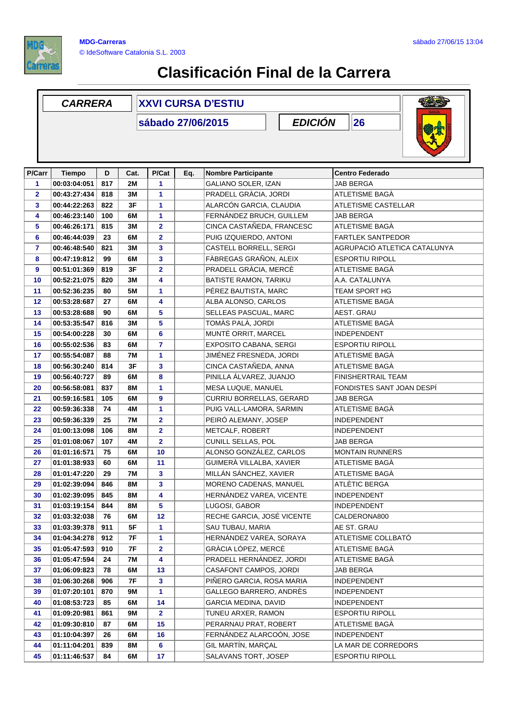

## **Clasificación Final de la Carrera**

|                         | <b>CARRERA</b> |     |               | <b>XXVI CURSA D'ESTIU</b> |     |                            |  |                              |  |
|-------------------------|----------------|-----|---------------|---------------------------|-----|----------------------------|--|------------------------------|--|
|                         |                |     |               |                           |     |                            |  |                              |  |
| P/Carr                  | <b>Tiempo</b>  | D   | Cat.          | P/Cat                     | Eq. | <b>Nombre Participante</b> |  | <b>Centro Federado</b>       |  |
| 1                       | 00:03:04:051   | 817 | 2M            | 1                         |     | GALIANO SOLER, IZAN        |  | <b>JAB BERGA</b>             |  |
| $\overline{\mathbf{2}}$ | 00:43:27:434   | 818 | 3M            | 1                         |     | PRADELL GRÀCIA, JORDI      |  | ATLETISME BAGÀ               |  |
| 3                       | 00:44:22:263   | 822 | 3F            | 1                         |     | ALARCÓN GARCIA, CLAUDIA    |  | <b>ATLETISME CASTELLAR</b>   |  |
| 4                       | 00:46:23:140   | 100 | 6M            | 1                         |     | FERNÁNDEZ BRUCH, GUILLEM   |  | JAB BERGA                    |  |
| 5                       | 00:46:26:171   | 815 | 3M            | 2                         |     | CINCA CASTAÑEDA, FRANCESC  |  | ATLETISME BAGÀ               |  |
| 6                       | 00:46:44:039   | 23  | 6M            | $\overline{\mathbf{2}}$   |     | PUIG IZQUIERDO, ANTONI     |  | <b>FARTLEK SANTPEDOR</b>     |  |
| 7                       | 00:46:48:540   | 821 | 3M            | 3                         |     | CASTELL BORRELL, SERGI     |  | AGRUPACIÓ ATLETICA CATALUNYA |  |
| 8                       | 00:47:19:812   | 99  | 6M            | 3                         |     | FÀBREGAS GRAÑON, ALEIX     |  | <b>ESPORTIU RIPOLL</b>       |  |
| 9                       | 00:51:01:369   | 819 | 3F            | $\overline{2}$            |     | PRADELL GRÀCIA, MERCÈ      |  | ATLETISME BAGÀ               |  |
| 10                      | 00:52:21:075   | 820 | 3M            | 4                         |     | BATISTE RAMON, TARIKU      |  | A.A. CATALUNYA               |  |
| 11                      | 00:52:36:235   | 80  | 5M            | 1                         |     | PÉREZ BAUTISTA, MARC       |  | <b>TEAM SPORT HG</b>         |  |
| 12                      | 00:53:28:687   | 27  | 6M            | 4                         |     | ALBA ALONSO, CARLOS        |  | ATLETISME BAGÀ               |  |
| 13                      | 00:53:28:688   | 90  | 6M            | 5                         |     | SELLEAS PASCUAL, MARC      |  | AEST. GRAU                   |  |
| 14                      | 00:53:35:547   | 816 | 3M            | 5                         |     | TOMÀS PALÀ, JORDI          |  | ATLETISME BAGÀ               |  |
| 15                      | 00:54:00:228   | 30  | 6M            | 6                         |     | MUNTÉ ORRIT, MARCEL        |  | <b>INDEPENDENT</b>           |  |
| 16                      | 00:55:02:536   | 83  | 6M            | 7                         |     | EXPOSITO CABANA, SERGI     |  | <b>ESPORTIU RIPOLL</b>       |  |
| 17                      | 00:55:54:087   | 88  | <b>7M</b>     | 1                         |     | JIMÉNEZ FRESNEDA, JORDI    |  | ATLETISME BAGÀ               |  |
| 18                      | 00:56:30:240   | 814 | 3F            | 3                         |     | CINCA CASTAÑEDA, ANNA      |  | ATLETISME BAGA               |  |
| 19                      | 00:56:40:727   | 89  | 6М            | 8                         |     | PINILLA ÁLVAREZ, JUANJO    |  | <b>FINISHERTRAIL TEAM</b>    |  |
| 20                      | 00:56:58:081   | 837 | <b>8M</b>     | 1                         |     | MESA LUQUE, MANUEL         |  | FONDISTES SANT JOAN DESPÍ    |  |
| 21                      | 00:59:16:581   | 105 | 6M            | 9                         |     | CURRIU BORRELLAS, GERARD   |  | JAB BERGA                    |  |
| 22                      | 00:59:36:338   | 74  | 4M            | 1                         |     | PUIG VALL-LAMORA, SARMIN   |  | ATLETISME BAGÀ               |  |
| 23                      | 00:59:36:339   | 25  | <b>7M</b>     | $\overline{\mathbf{2}}$   |     | PEIRÓ ALEMANY, JOSEP       |  | <b>INDEPENDENT</b>           |  |
| 24                      | 01:00:13:098   | 106 | <b>8M</b>     | $\overline{\mathbf{2}}$   |     | METCALF, ROBERT            |  | <b>INDEPENDENT</b>           |  |
| 25                      | 01:01:08:067   | 107 | 4M            | $\overline{2}$            |     | CUNILL SELLAS, POL         |  | JAB BERGA                    |  |
| 26                      | 01:01:16:571   | 75  | 6М            | 10                        |     | ALONSO GONZÁLEZ, CARLOS    |  | <b>MONTAIN RUNNERS</b>       |  |
| 27                      | 01:01:38:933   | 60  | 6M            | 11                        |     | GUIMERÀ VILLALBA, XAVIER   |  | ATLETISME BAGÀ               |  |
| 28                      | 01:01:47:220   | 29  | 7M            | 3                         |     | MILLÁN SÁNCHEZ, XAVIER     |  | ATLETISME BAGÀ               |  |
| 29                      | 01:02:39:094   | 846 | 8M            | 3                         |     | MORENO CADENAS, MANUEL     |  | ATLÈTIC BERGA                |  |
| 30                      | 01:02:39:095   | 845 | 8M            | 4                         |     | HERNÁNDEZ VAREA, VICENTE   |  | <b>INDEPENDENT</b>           |  |
| 31                      | 01:03:19:154   | 844 | $8\mathsf{M}$ | 5                         |     | LUGOSI, GABOR              |  | <b>INDEPENDENT</b>           |  |
| 32                      | 01:03:32:038   | 76  | 6M            | 12                        |     | RECHE GARCIA, JOSÉ VICENTE |  | CALDERONA800                 |  |
| 33                      | 01:03:39:378   | 911 | 5F            | 1                         |     | SAU TUBAU, MARIA           |  | AE ST. GRAU                  |  |
| 34                      | 01:04:34:278   | 912 | 7F            | 1                         |     | HERNÁNDEZ VAREA, SORAYA    |  | ATLETISME COLLBATO           |  |
| 35                      | 01:05:47:593   | 910 | 7F            | $\overline{\mathbf{2}}$   |     | GRÀCIA LÓPEZ, MERCÈ        |  | ATLETISME BAGÀ               |  |
| 36                      | 01:05:47:594   | 24  | 7M            | 4                         |     | PRADELL HERNÁNDEZ, JORDI   |  | ATLETISME BAGÀ               |  |
| 37                      | 01:06:09:823   | 78  | 6M            | 13                        |     | CASAFONT CAMPOS, JORDI     |  | JAB BERGA                    |  |
| 38                      | 01:06:30:268   | 906 | 7F            | 3                         |     | PIÑERO GARCIA, ROSA MARIA  |  | <b>INDEPENDENT</b>           |  |
| 39                      | 01:07:20:101   | 870 | 9M            | 1                         |     | GALLEGO BARRERO, ANDRÈS    |  | <b>INDEPENDENT</b>           |  |
| 40                      | 01:08:53:723   | 85  | 6M            | 14                        |     | GARCIA MEDINA, DAVID       |  | <b>INDEPENDENT</b>           |  |
| 41                      | 01:09:20:981   | 861 | 9M            | 2                         |     | TUNEU ARXER, RAMON         |  | <b>ESPORTIU RIPOLL</b>       |  |
| 42                      | 01:09:30:810   | 87  | 6М            | 15                        |     | PERARNAU PRAT, ROBERT      |  | ATLETISME BAGÀ               |  |
| 43                      | 01:10:04:397   | 26  | 6M            | 16                        |     | FERNÁNDEZ ALARCOÓN, JOSE   |  | <b>INDEPENDENT</b>           |  |
| 44                      | 01:11:04:201   | 839 | 8M            | 6                         |     | GIL MARTÍN, MARÇAL         |  | LA MAR DE CORREDORS          |  |
| 45                      | 01:11:46:537   | 84  | 6M            | 17                        |     | SALAVANS TORT, JOSEP       |  | <b>ESPORTIU RIPOLL</b>       |  |